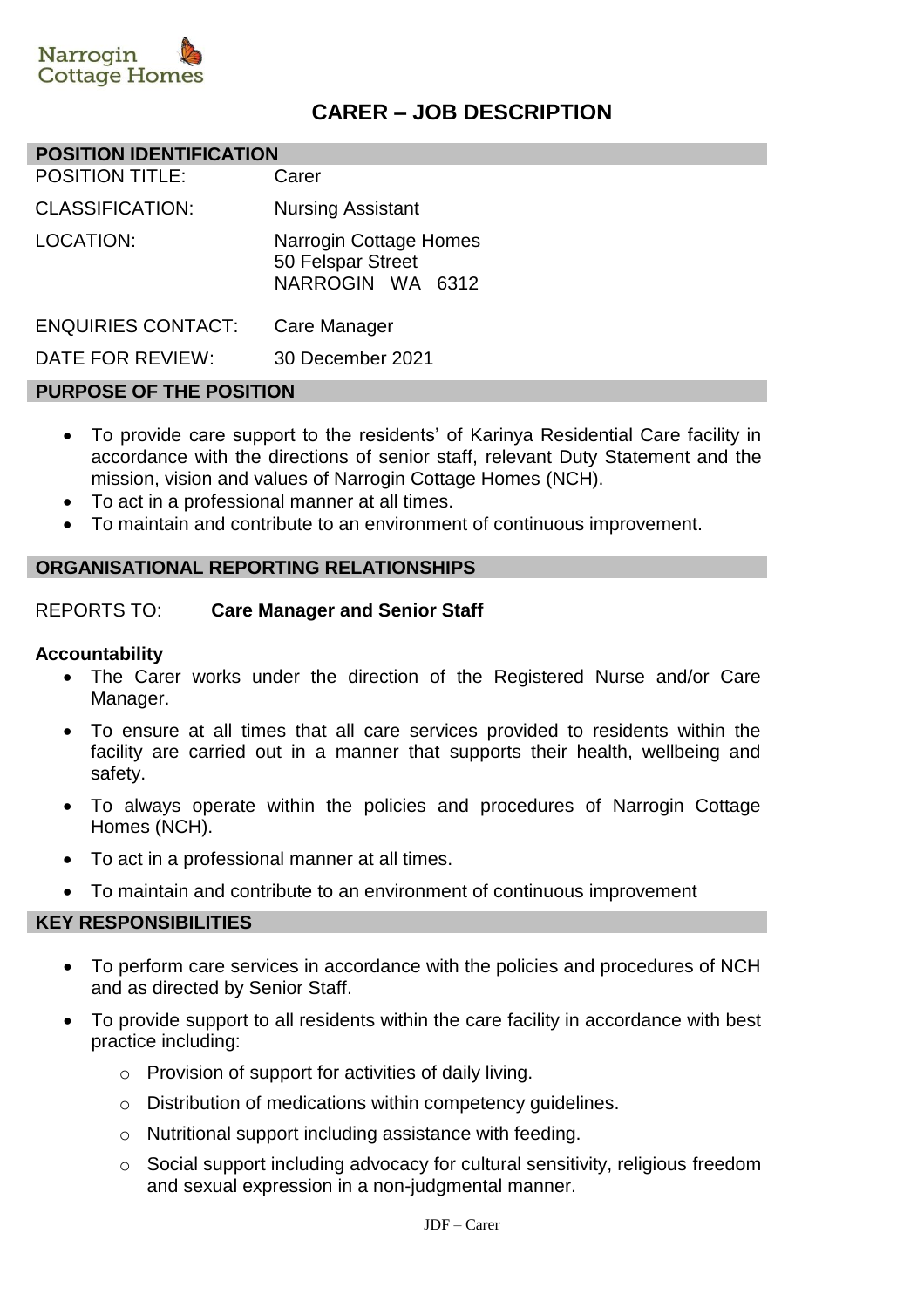

## **CARER – JOB DESCRIPTION**

#### **POSITION IDENTIFICATION**

| <b>POSITION TITLE:</b>    | Carer                                                           |
|---------------------------|-----------------------------------------------------------------|
| <b>CLASSIFICATION:</b>    | <b>Nursing Assistant</b>                                        |
| LOCATION:                 | Narrogin Cottage Homes<br>50 Felspar Street<br>NARROGIN WA 6312 |
| <b>ENQUIRIES CONTACT:</b> | Care Manager                                                    |
| DATE FOR REVIEW:          | 30 December 2021                                                |

#### **PURPOSE OF THE POSITION**

- To provide care support to the residents' of Karinya Residential Care facility in accordance with the directions of senior staff, relevant Duty Statement and the mission, vision and values of Narrogin Cottage Homes (NCH).
- To act in a professional manner at all times.
- To maintain and contribute to an environment of continuous improvement.

#### **ORGANISATIONAL REPORTING RELATIONSHIPS**

#### REPORTS TO: **Care Manager and Senior Staff**

#### **Accountability**

- The Carer works under the direction of the Registered Nurse and/or Care Manager.
- To ensure at all times that all care services provided to residents within the facility are carried out in a manner that supports their health, wellbeing and safety.
- To always operate within the policies and procedures of Narrogin Cottage Homes (NCH).
- To act in a professional manner at all times.
- To maintain and contribute to an environment of continuous improvement

#### **KEY RESPONSIBILITIES**

- To perform care services in accordance with the policies and procedures of NCH and as directed by Senior Staff.
- To provide support to all residents within the care facility in accordance with best practice including:
	- o Provision of support for activities of daily living.
	- o Distribution of medications within competency guidelines.
	- o Nutritional support including assistance with feeding.
	- o Social support including advocacy for cultural sensitivity, religious freedom and sexual expression in a non-judgmental manner.